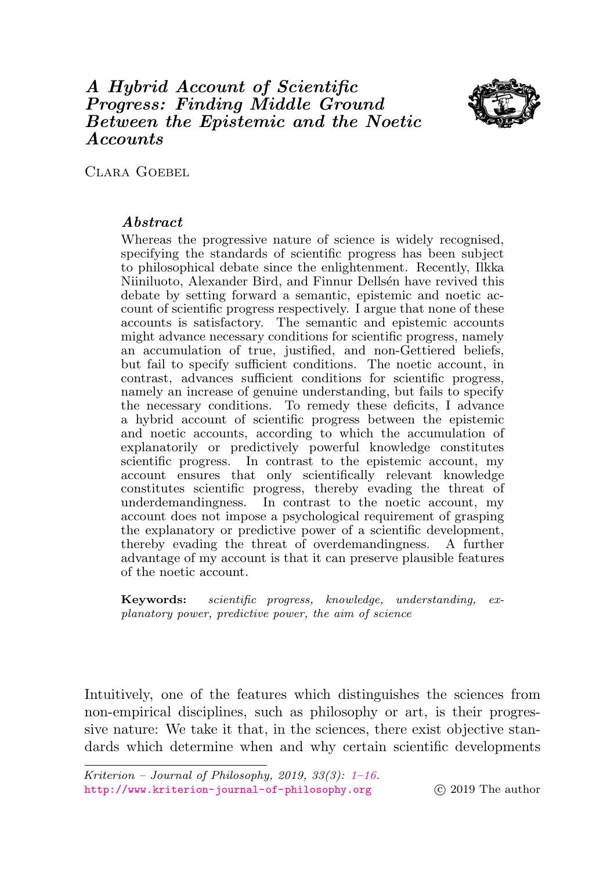# <span id="page-0-0"></span>A Hybrid Account of Scientific Progress: Finding Middle Ground Between the Epistemic and the Noetic Accounts



CLARA GOEBEL

## Abstract

Whereas the progressive nature of science is widely recognised, specifying the standards of scientific progress has been subject to philosophical debate since the enlightenment. Recently, Ilkka Niiniluoto, Alexander Bird, and Finnur Dellsén have revived this debate by setting forward a semantic, epistemic and noetic account of scientific progress respectively. I argue that none of these accounts is satisfactory. The semantic and epistemic accounts might advance necessary conditions for scientific progress, namely an accumulation of true, justified, and non-Gettiered beliefs, but fail to specify sufficient conditions. The noetic account, in contrast, advances sufficient conditions for scientific progress, namely an increase of genuine understanding, but fails to specify the necessary conditions. To remedy these deficits, I advance a hybrid account of scientific progress between the epistemic and noetic accounts, according to which the accumulation of explanatorily or predictively powerful knowledge constitutes scientific progress. In contrast to the epistemic account, my account ensures that only scientifically relevant knowledge constitutes scientific progress, thereby evading the threat of underdemandingness. In contrast to the noetic account, my account does not impose a psychological requirement of grasping the explanatory or predictive power of a scientific development, thereby evading the threat of overdemandingness. A further advantage of my account is that it can preserve plausible features of the noetic account.

Keywords: scientific progress, knowledge, understanding, explanatory power, predictive power, the aim of science

Intuitively, one of the features which distinguishes the sciences from non-empirical disciplines, such as philosophy or art, is their progressive nature: We take it that, in the sciences, there exist objective standards which determine when and why certain scientific developments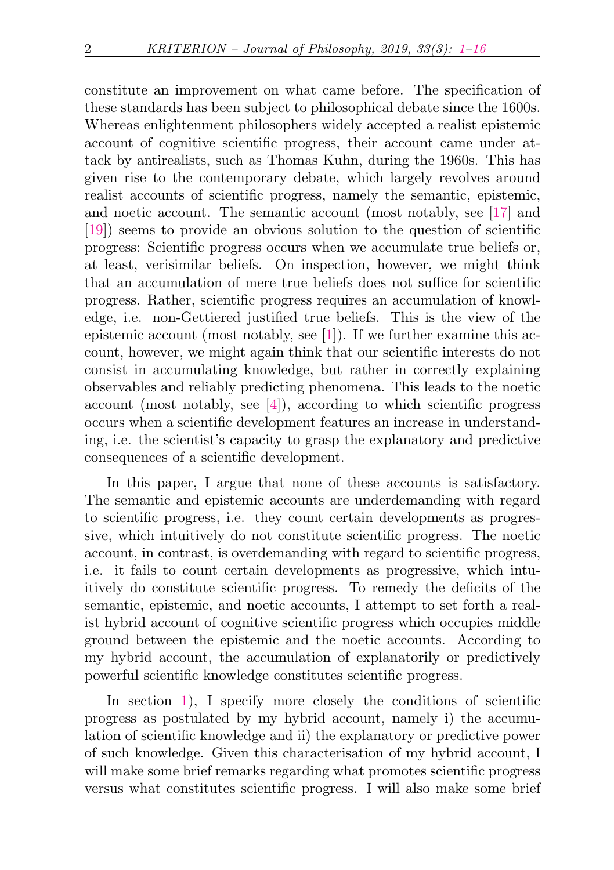constitute an improvement on what came before. The specification of these standards has been subject to philosophical debate since the 1600s. Whereas enlightenment philosophers widely accepted a realist epistemic account of cognitive scientific progress, their account came under attack by antirealists, such as Thomas Kuhn, during the 1960s. This has given rise to the contemporary debate, which largely revolves around realist accounts of scientific progress, namely the semantic, epistemic, and noetic account. The semantic account (most notably, see [\[17\]](#page-14-0) and [\[19\]](#page-14-1)) seems to provide an obvious solution to the question of scientific progress: Scientific progress occurs when we accumulate true beliefs or, at least, verisimilar beliefs. On inspection, however, we might think that an accumulation of mere true beliefs does not suffice for scientific progress. Rather, scientific progress requires an accumulation of knowledge, i.e. non-Gettiered justified true beliefs. This is the view of the epistemic account (most notably, see [\[1\]](#page-13-1)). If we further examine this account, however, we might again think that our scientific interests do not consist in accumulating knowledge, but rather in correctly explaining observables and reliably predicting phenomena. This leads to the noetic account (most notably, see [\[4\]](#page-13-2)), according to which scientific progress occurs when a scientific development features an increase in understanding, i.e. the scientist's capacity to grasp the explanatory and predictive consequences of a scientific development.

In this paper, I argue that none of these accounts is satisfactory. The semantic and epistemic accounts are underdemanding with regard to scientific progress, i.e. they count certain developments as progressive, which intuitively do not constitute scientific progress. The noetic account, in contrast, is overdemanding with regard to scientific progress, i.e. it fails to count certain developments as progressive, which intuitively do constitute scientific progress. To remedy the deficits of the semantic, epistemic, and noetic accounts, I attempt to set forth a realist hybrid account of cognitive scientific progress which occupies middle ground between the epistemic and the noetic accounts. According to my hybrid account, the accumulation of explanatorily or predictively powerful scientific knowledge constitutes scientific progress.

In section [1\)](#page-2-0), I specify more closely the conditions of scientific progress as postulated by my hybrid account, namely i) the accumulation of scientific knowledge and ii) the explanatory or predictive power of such knowledge. Given this characterisation of my hybrid account, I will make some brief remarks regarding what promotes scientific progress versus what constitutes scientific progress. I will also make some brief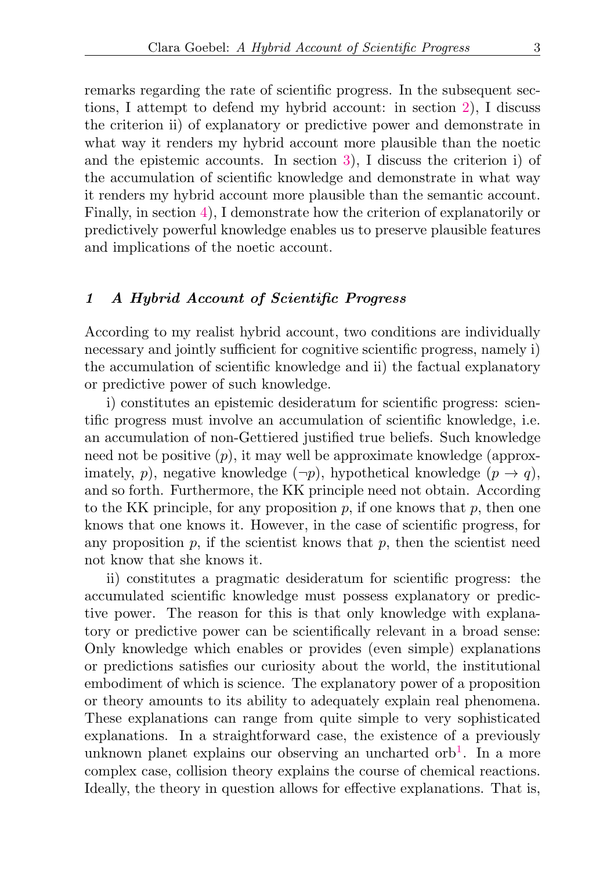remarks regarding the rate of scientific progress. In the subsequent sections, I attempt to defend my hybrid account: in section [2\)](#page-5-0), I discuss the criterion ii) of explanatory or predictive power and demonstrate in what way it renders my hybrid account more plausible than the noetic and the epistemic accounts. In section [3\)](#page-8-0), I discuss the criterion i) of the accumulation of scientific knowledge and demonstrate in what way it renders my hybrid account more plausible than the semantic account. Finally, in section [4\)](#page-9-0), I demonstrate how the criterion of explanatorily or predictively powerful knowledge enables us to preserve plausible features and implications of the noetic account.

## <span id="page-2-0"></span>1 A Hybrid Account of Scientific Progress

According to my realist hybrid account, two conditions are individually necessary and jointly sufficient for cognitive scientific progress, namely i) the accumulation of scientific knowledge and ii) the factual explanatory or predictive power of such knowledge.

i) constitutes an epistemic desideratum for scientific progress: scientific progress must involve an accumulation of scientific knowledge, i.e. an accumulation of non-Gettiered justified true beliefs. Such knowledge need not be positive  $(p)$ , it may well be approximate knowledge (approximately, p), negative knowledge  $(\neg p)$ , hypothetical knowledge  $(p \rightarrow q)$ , and so forth. Furthermore, the KK principle need not obtain. According to the KK principle, for any proposition  $p$ , if one knows that  $p$ , then one knows that one knows it. However, in the case of scientific progress, for any proposition  $p$ , if the scientist knows that  $p$ , then the scientist need not know that she knows it.

<span id="page-2-1"></span>ii) constitutes a pragmatic desideratum for scientific progress: the accumulated scientific knowledge must possess explanatory or predictive power. The reason for this is that only knowledge with explanatory or predictive power can be scientifically relevant in a broad sense: Only knowledge which enables or provides (even simple) explanations or predictions satisfies our curiosity about the world, the institutional embodiment of which is science. The explanatory power of a proposition or theory amounts to its ability to adequately explain real phenomena. These explanations can range from quite simple to very sophisticated explanations. In a straightforward case, the existence of a previously unknown planet explains our observing an uncharted orb<sup>[1](#page-12-0)</sup>. In a more complex case, collision theory explains the course of chemical reactions. Ideally, the theory in question allows for effective explanations. That is,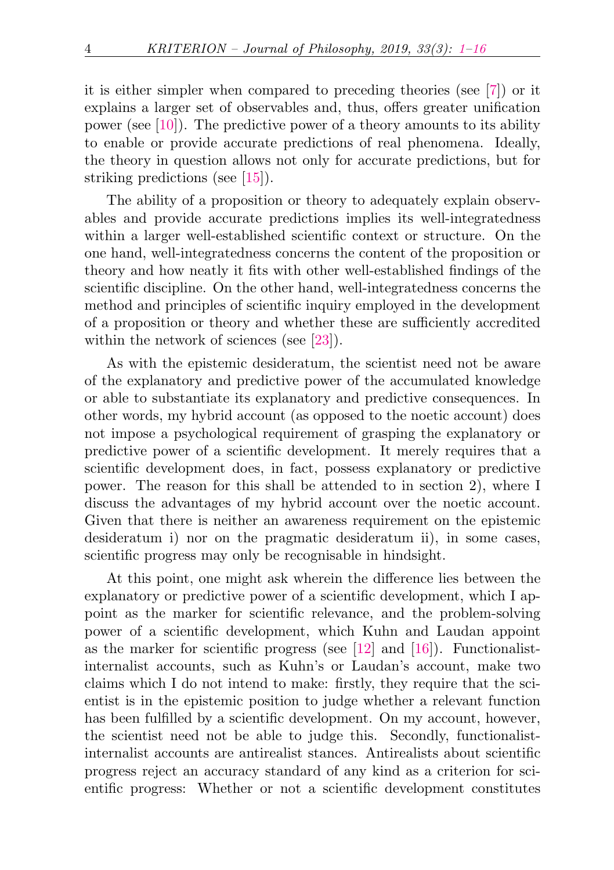it is either simpler when compared to preceding theories (see [\[7\]](#page-13-3)) or it explains a larger set of observables and, thus, offers greater unification power (see [\[10\]](#page-14-2)). The predictive power of a theory amounts to its ability to enable or provide accurate predictions of real phenomena. Ideally, the theory in question allows not only for accurate predictions, but for striking predictions (see [\[15\]](#page-14-3)).

The ability of a proposition or theory to adequately explain observables and provide accurate predictions implies its well-integratedness within a larger well-established scientific context or structure. On the one hand, well-integratedness concerns the content of the proposition or theory and how neatly it fits with other well-established findings of the scientific discipline. On the other hand, well-integratedness concerns the method and principles of scientific inquiry employed in the development of a proposition or theory and whether these are sufficiently accredited within the network of sciences (see [\[23\]](#page-15-0)).

As with the epistemic desideratum, the scientist need not be aware of the explanatory and predictive power of the accumulated knowledge or able to substantiate its explanatory and predictive consequences. In other words, my hybrid account (as opposed to the noetic account) does not impose a psychological requirement of grasping the explanatory or predictive power of a scientific development. It merely requires that a scientific development does, in fact, possess explanatory or predictive power. The reason for this shall be attended to in section 2), where I discuss the advantages of my hybrid account over the noetic account. Given that there is neither an awareness requirement on the epistemic desideratum i) nor on the pragmatic desideratum ii), in some cases, scientific progress may only be recognisable in hindsight.

At this point, one might ask wherein the difference lies between the explanatory or predictive power of a scientific development, which I appoint as the marker for scientific relevance, and the problem-solving power of a scientific development, which Kuhn and Laudan appoint as the marker for scientific progress (see  $[12]$  and  $[16]$ ). Functionalistinternalist accounts, such as Kuhn's or Laudan's account, make two claims which I do not intend to make: firstly, they require that the scientist is in the epistemic position to judge whether a relevant function has been fulfilled by a scientific development. On my account, however, the scientist need not be able to judge this. Secondly, functionalistinternalist accounts are antirealist stances. Antirealists about scientific progress reject an accuracy standard of any kind as a criterion for scientific progress: Whether or not a scientific development constitutes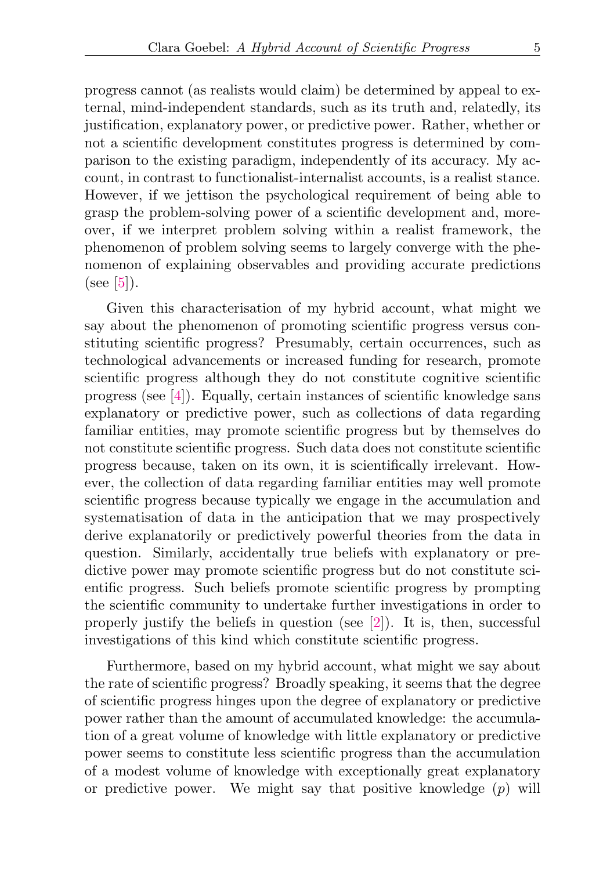progress cannot (as realists would claim) be determined by appeal to external, mind-independent standards, such as its truth and, relatedly, its justification, explanatory power, or predictive power. Rather, whether or not a scientific development constitutes progress is determined by comparison to the existing paradigm, independently of its accuracy. My account, in contrast to functionalist-internalist accounts, is a realist stance. However, if we jettison the psychological requirement of being able to grasp the problem-solving power of a scientific development and, moreover, if we interpret problem solving within a realist framework, the phenomenon of problem solving seems to largely converge with the phenomenon of explaining observables and providing accurate predictions (see  $[5]$ ).

Given this characterisation of my hybrid account, what might we say about the phenomenon of promoting scientific progress versus constituting scientific progress? Presumably, certain occurrences, such as technological advancements or increased funding for research, promote scientific progress although they do not constitute cognitive scientific progress (see [\[4\]](#page-13-2)). Equally, certain instances of scientific knowledge sans explanatory or predictive power, such as collections of data regarding familiar entities, may promote scientific progress but by themselves do not constitute scientific progress. Such data does not constitute scientific progress because, taken on its own, it is scientifically irrelevant. However, the collection of data regarding familiar entities may well promote scientific progress because typically we engage in the accumulation and systematisation of data in the anticipation that we may prospectively derive explanatorily or predictively powerful theories from the data in question. Similarly, accidentally true beliefs with explanatory or predictive power may promote scientific progress but do not constitute scientific progress. Such beliefs promote scientific progress by prompting the scientific community to undertake further investigations in order to properly justify the beliefs in question (see [\[2\]](#page-13-5)). It is, then, successful investigations of this kind which constitute scientific progress.

Furthermore, based on my hybrid account, what might we say about the rate of scientific progress? Broadly speaking, it seems that the degree of scientific progress hinges upon the degree of explanatory or predictive power rather than the amount of accumulated knowledge: the accumulation of a great volume of knowledge with little explanatory or predictive power seems to constitute less scientific progress than the accumulation of a modest volume of knowledge with exceptionally great explanatory or predictive power. We might say that positive knowledge  $(p)$  will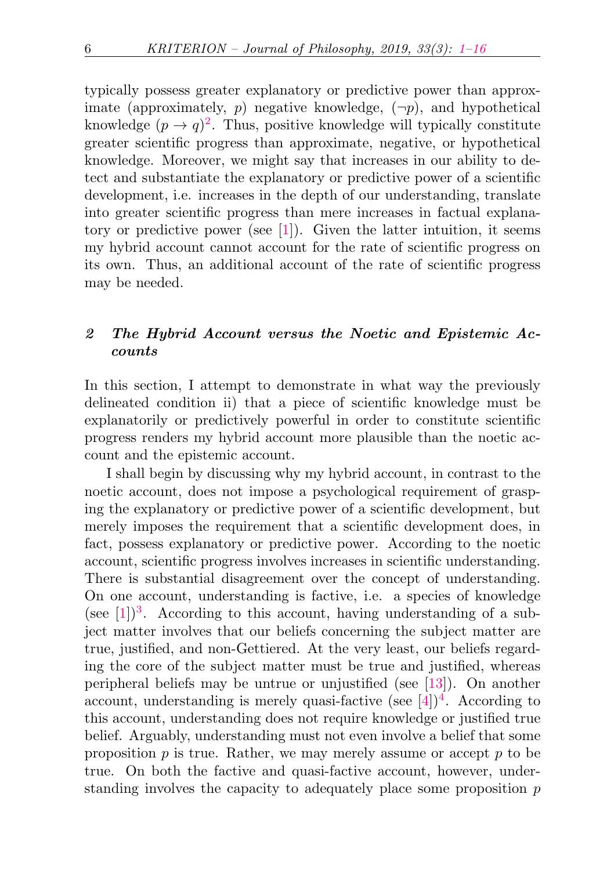<span id="page-5-1"></span>typically possess greater explanatory or predictive power than approximate (approximately, p) negative knowledge,  $(\neg p)$ , and hypothetical knowledge  $(p \to q)^2$  $(p \to q)^2$ . Thus, positive knowledge will typically constitute greater scientific progress than approximate, negative, or hypothetical knowledge. Moreover, we might say that increases in our ability to detect and substantiate the explanatory or predictive power of a scientific development, i.e. increases in the depth of our understanding, translate into greater scientific progress than mere increases in factual explanatory or predictive power (see [\[1\]](#page-13-1)). Given the latter intuition, it seems my hybrid account cannot account for the rate of scientific progress on its own. Thus, an additional account of the rate of scientific progress may be needed.

## <span id="page-5-0"></span>2 The Hybrid Account versus the Noetic and Epistemic Accounts

In this section, I attempt to demonstrate in what way the previously delineated condition ii) that a piece of scientific knowledge must be explanatorily or predictively powerful in order to constitute scientific progress renders my hybrid account more plausible than the noetic account and the epistemic account.

<span id="page-5-3"></span><span id="page-5-2"></span>I shall begin by discussing why my hybrid account, in contrast to the noetic account, does not impose a psychological requirement of grasping the explanatory or predictive power of a scientific development, but merely imposes the requirement that a scientific development does, in fact, possess explanatory or predictive power. According to the noetic account, scientific progress involves increases in scientific understanding. There is substantial disagreement over the concept of understanding. On one account, understanding is factive, i.e. a species of knowledge (see  $[1]$ )<sup>[3](#page-12-2)</sup>. According to this account, having understanding of a subject matter involves that our beliefs concerning the subject matter are true, justified, and non-Gettiered. At the very least, our beliefs regarding the core of the subject matter must be true and justified, whereas peripheral beliefs may be untrue or unjustified (see [\[13\]](#page-14-6)). On another account, understanding is merely quasi-factive (see  $[4]$ )<sup>[4](#page-12-3)</sup>. According to this account, understanding does not require knowledge or justified true belief. Arguably, understanding must not even involve a belief that some proposition  $p$  is true. Rather, we may merely assume or accept  $p$  to be true. On both the factive and quasi-factive account, however, understanding involves the capacity to adequately place some proposition  $p$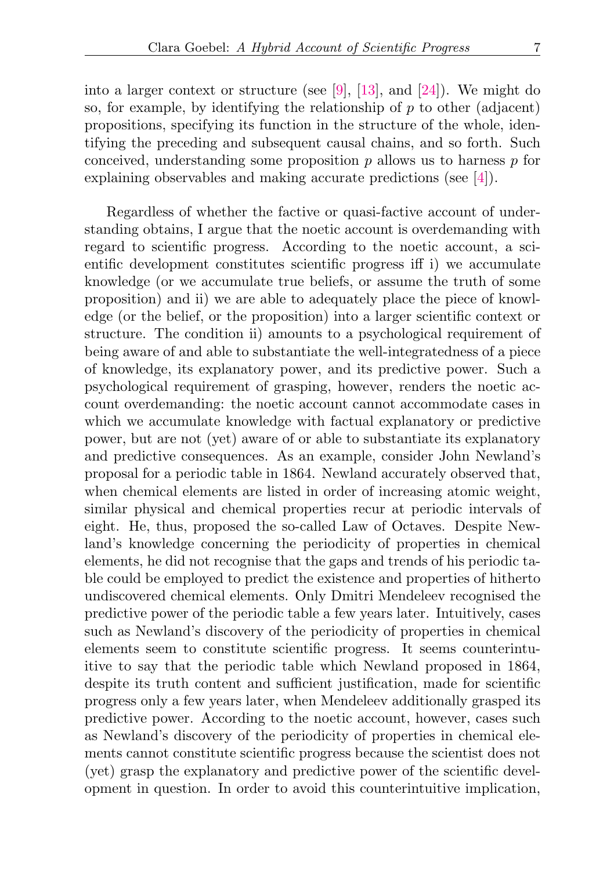Regardless of whether the factive or quasi-factive account of understanding obtains, I argue that the noetic account is overdemanding with regard to scientific progress. According to the noetic account, a scientific development constitutes scientific progress iff i) we accumulate knowledge (or we accumulate true beliefs, or assume the truth of some proposition) and ii) we are able to adequately place the piece of knowledge (or the belief, or the proposition) into a larger scientific context or structure. The condition ii) amounts to a psychological requirement of being aware of and able to substantiate the well-integratedness of a piece of knowledge, its explanatory power, and its predictive power. Such a psychological requirement of grasping, however, renders the noetic account overdemanding: the noetic account cannot accommodate cases in which we accumulate knowledge with factual explanatory or predictive power, but are not (yet) aware of or able to substantiate its explanatory and predictive consequences. As an example, consider John Newland's proposal for a periodic table in 1864. Newland accurately observed that, when chemical elements are listed in order of increasing atomic weight, similar physical and chemical properties recur at periodic intervals of eight. He, thus, proposed the so-called Law of Octaves. Despite Newland's knowledge concerning the periodicity of properties in chemical elements, he did not recognise that the gaps and trends of his periodic table could be employed to predict the existence and properties of hitherto undiscovered chemical elements. Only Dmitri Mendeleev recognised the predictive power of the periodic table a few years later. Intuitively, cases such as Newland's discovery of the periodicity of properties in chemical elements seem to constitute scientific progress. It seems counterintuitive to say that the periodic table which Newland proposed in 1864, despite its truth content and sufficient justification, made for scientific progress only a few years later, when Mendeleev additionally grasped its predictive power. According to the noetic account, however, cases such as Newland's discovery of the periodicity of properties in chemical elements cannot constitute scientific progress because the scientist does not (yet) grasp the explanatory and predictive power of the scientific development in question. In order to avoid this counterintuitive implication,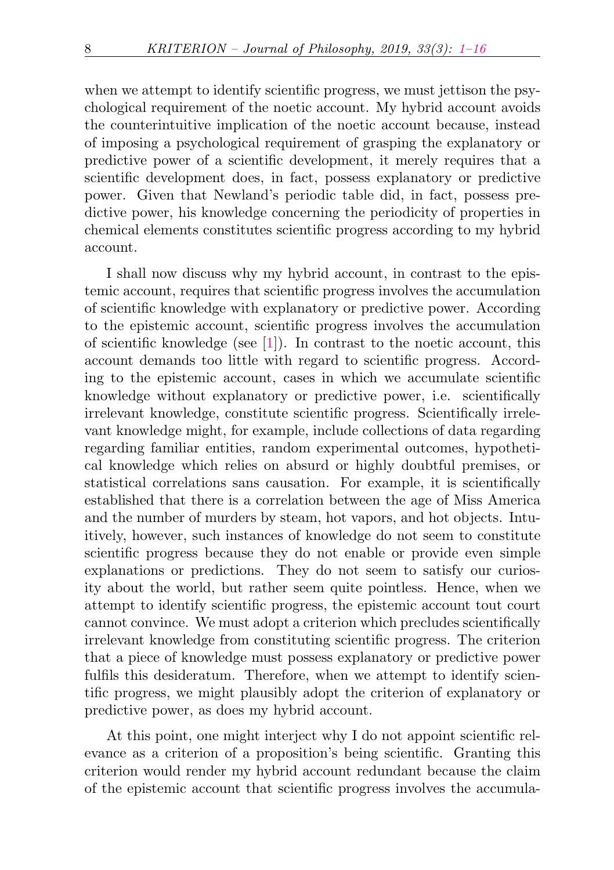when we attempt to identify scientific progress, we must jettison the psychological requirement of the noetic account. My hybrid account avoids the counterintuitive implication of the noetic account because, instead of imposing a psychological requirement of grasping the explanatory or predictive power of a scientific development, it merely requires that a scientific development does, in fact, possess explanatory or predictive power. Given that Newland's periodic table did, in fact, possess predictive power, his knowledge concerning the periodicity of properties in chemical elements constitutes scientific progress according to my hybrid account.

I shall now discuss why my hybrid account, in contrast to the epistemic account, requires that scientific progress involves the accumulation of scientific knowledge with explanatory or predictive power. According to the epistemic account, scientific progress involves the accumulation of scientific knowledge (see [\[1\]](#page-13-1)). In contrast to the noetic account, this account demands too little with regard to scientific progress. According to the epistemic account, cases in which we accumulate scientific knowledge without explanatory or predictive power, i.e. scientifically irrelevant knowledge, constitute scientific progress. Scientifically irrelevant knowledge might, for example, include collections of data regarding regarding familiar entities, random experimental outcomes, hypothetical knowledge which relies on absurd or highly doubtful premises, or statistical correlations sans causation. For example, it is scientifically established that there is a correlation between the age of Miss America and the number of murders by steam, hot vapors, and hot objects. Intuitively, however, such instances of knowledge do not seem to constitute scientific progress because they do not enable or provide even simple explanations or predictions. They do not seem to satisfy our curiosity about the world, but rather seem quite pointless. Hence, when we attempt to identify scientific progress, the epistemic account tout court cannot convince. We must adopt a criterion which precludes scientifically irrelevant knowledge from constituting scientific progress. The criterion that a piece of knowledge must possess explanatory or predictive power fulfils this desideratum. Therefore, when we attempt to identify scientific progress, we might plausibly adopt the criterion of explanatory or predictive power, as does my hybrid account.

At this point, one might interject why I do not appoint scientific relevance as a criterion of a proposition's being scientific. Granting this criterion would render my hybrid account redundant because the claim of the epistemic account that scientific progress involves the accumula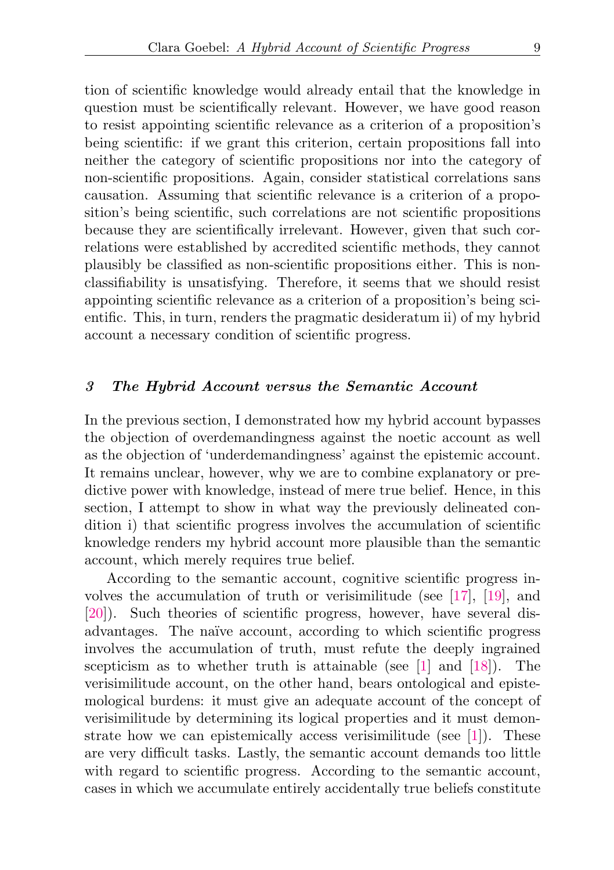tion of scientific knowledge would already entail that the knowledge in question must be scientifically relevant. However, we have good reason to resist appointing scientific relevance as a criterion of a proposition's being scientific: if we grant this criterion, certain propositions fall into neither the category of scientific propositions nor into the category of non-scientific propositions. Again, consider statistical correlations sans causation. Assuming that scientific relevance is a criterion of a proposition's being scientific, such correlations are not scientific propositions because they are scientifically irrelevant. However, given that such correlations were established by accredited scientific methods, they cannot plausibly be classified as non-scientific propositions either. This is nonclassifiability is unsatisfying. Therefore, it seems that we should resist appointing scientific relevance as a criterion of a proposition's being scientific. This, in turn, renders the pragmatic desideratum ii) of my hybrid account a necessary condition of scientific progress.

#### <span id="page-8-0"></span>3 The Hybrid Account versus the Semantic Account

In the previous section, I demonstrated how my hybrid account bypasses the objection of overdemandingness against the noetic account as well as the objection of 'underdemandingness' against the epistemic account. It remains unclear, however, why we are to combine explanatory or predictive power with knowledge, instead of mere true belief. Hence, in this section, I attempt to show in what way the previously delineated condition i) that scientific progress involves the accumulation of scientific knowledge renders my hybrid account more plausible than the semantic account, which merely requires true belief.

According to the semantic account, cognitive scientific progress involves the accumulation of truth or verisimilitude (see [\[17\]](#page-14-0), [\[19\]](#page-14-1), and [\[20\]](#page-14-8)). Such theories of scientific progress, however, have several disadvantages. The naïve account, according to which scientific progress involves the accumulation of truth, must refute the deeply ingrained scepticism as to whether truth is attainable (see [\[1\]](#page-13-1) and [\[18\]](#page-14-9)). The verisimilitude account, on the other hand, bears ontological and epistemological burdens: it must give an adequate account of the concept of verisimilitude by determining its logical properties and it must demonstrate how we can epistemically access verisimilitude (see [\[1\]](#page-13-1)). These are very difficult tasks. Lastly, the semantic account demands too little with regard to scientific progress. According to the semantic account, cases in which we accumulate entirely accidentally true beliefs constitute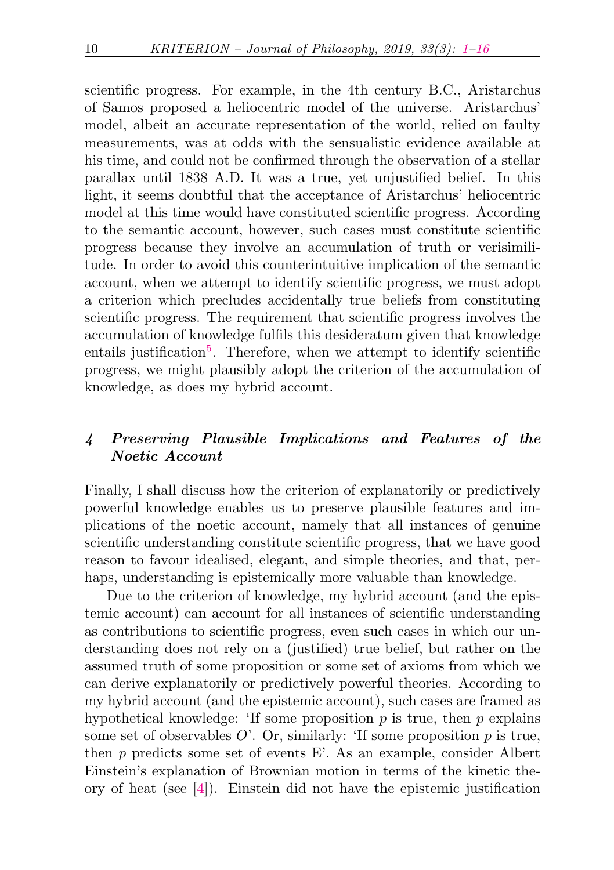scientific progress. For example, in the 4th century B.C., Aristarchus of Samos proposed a heliocentric model of the universe. Aristarchus' model, albeit an accurate representation of the world, relied on faulty measurements, was at odds with the sensualistic evidence available at his time, and could not be confirmed through the observation of a stellar parallax until 1838 A.D. It was a true, yet unjustified belief. In this light, it seems doubtful that the acceptance of Aristarchus' heliocentric model at this time would have constituted scientific progress. According to the semantic account, however, such cases must constitute scientific progress because they involve an accumulation of truth or verisimilitude. In order to avoid this counterintuitive implication of the semantic account, when we attempt to identify scientific progress, we must adopt a criterion which precludes accidentally true beliefs from constituting scientific progress. The requirement that scientific progress involves the accumulation of knowledge fulfils this desideratum given that knowledge entails justification<sup>[5](#page-12-4)</sup>. Therefore, when we attempt to identify scientific progress, we might plausibly adopt the criterion of the accumulation of knowledge, as does my hybrid account.

# <span id="page-9-1"></span><span id="page-9-0"></span>4 Preserving Plausible Implications and Features of the Noetic Account

Finally, I shall discuss how the criterion of explanatorily or predictively powerful knowledge enables us to preserve plausible features and implications of the noetic account, namely that all instances of genuine scientific understanding constitute scientific progress, that we have good reason to favour idealised, elegant, and simple theories, and that, perhaps, understanding is epistemically more valuable than knowledge.

Due to the criterion of knowledge, my hybrid account (and the epistemic account) can account for all instances of scientific understanding as contributions to scientific progress, even such cases in which our understanding does not rely on a (justified) true belief, but rather on the assumed truth of some proposition or some set of axioms from which we can derive explanatorily or predictively powerful theories. According to my hybrid account (and the epistemic account), such cases are framed as hypothetical knowledge: 'If some proposition  $p$  is true, then  $p$  explains some set of observables  $O'$ . Or, similarly: 'If some proposition  $p$  is true, then  $p$  predicts some set of events E'. As an example, consider Albert Einstein's explanation of Brownian motion in terms of the kinetic theory of heat (see [\[4\]](#page-13-2)). Einstein did not have the epistemic justification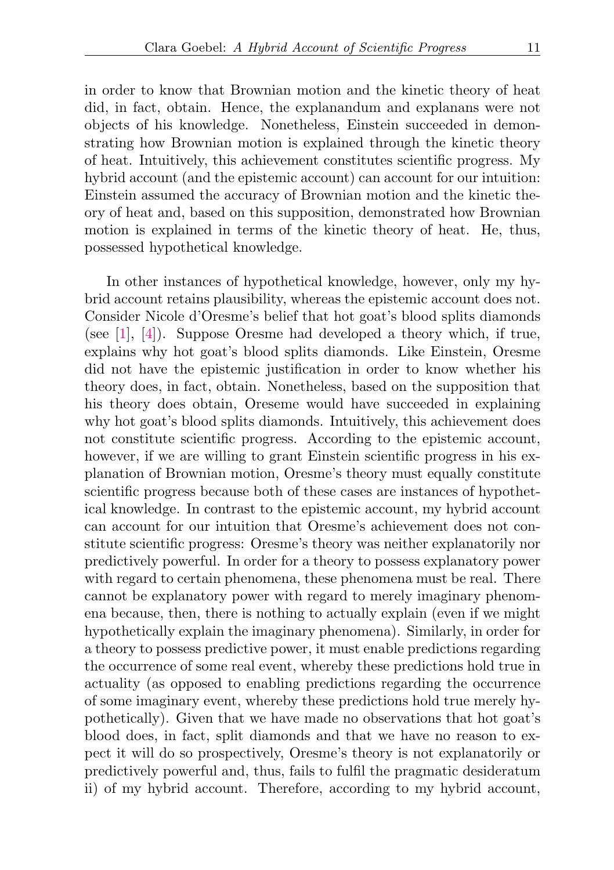in order to know that Brownian motion and the kinetic theory of heat did, in fact, obtain. Hence, the explanandum and explanans were not objects of his knowledge. Nonetheless, Einstein succeeded in demonstrating how Brownian motion is explained through the kinetic theory of heat. Intuitively, this achievement constitutes scientific progress. My hybrid account (and the epistemic account) can account for our intuition: Einstein assumed the accuracy of Brownian motion and the kinetic theory of heat and, based on this supposition, demonstrated how Brownian motion is explained in terms of the kinetic theory of heat. He, thus, possessed hypothetical knowledge.

In other instances of hypothetical knowledge, however, only my hybrid account retains plausibility, whereas the epistemic account does not. Consider Nicole d'Oresme's belief that hot goat's blood splits diamonds (see [\[1\]](#page-13-1), [\[4\]](#page-13-2)). Suppose Oresme had developed a theory which, if true, explains why hot goat's blood splits diamonds. Like Einstein, Oresme did not have the epistemic justification in order to know whether his theory does, in fact, obtain. Nonetheless, based on the supposition that his theory does obtain, Oreseme would have succeeded in explaining why hot goat's blood splits diamonds. Intuitively, this achievement does not constitute scientific progress. According to the epistemic account, however, if we are willing to grant Einstein scientific progress in his explanation of Brownian motion, Oresme's theory must equally constitute scientific progress because both of these cases are instances of hypothetical knowledge. In contrast to the epistemic account, my hybrid account can account for our intuition that Oresme's achievement does not constitute scientific progress: Oresme's theory was neither explanatorily nor predictively powerful. In order for a theory to possess explanatory power with regard to certain phenomena, these phenomena must be real. There cannot be explanatory power with regard to merely imaginary phenomena because, then, there is nothing to actually explain (even if we might hypothetically explain the imaginary phenomena). Similarly, in order for a theory to possess predictive power, it must enable predictions regarding the occurrence of some real event, whereby these predictions hold true in actuality (as opposed to enabling predictions regarding the occurrence of some imaginary event, whereby these predictions hold true merely hypothetically). Given that we have made no observations that hot goat's blood does, in fact, split diamonds and that we have no reason to expect it will do so prospectively, Oresme's theory is not explanatorily or predictively powerful and, thus, fails to fulfil the pragmatic desideratum ii) of my hybrid account. Therefore, according to my hybrid account,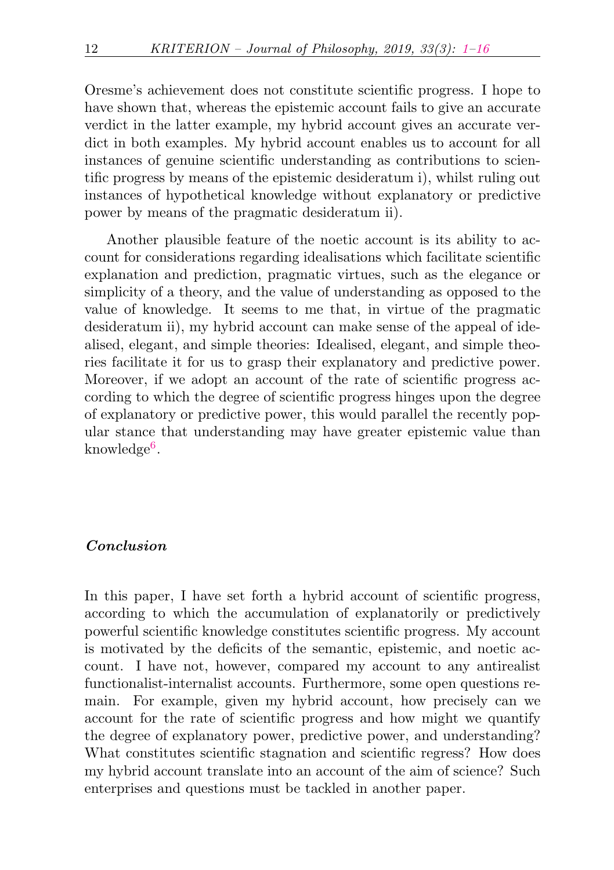Oresme's achievement does not constitute scientific progress. I hope to have shown that, whereas the epistemic account fails to give an accurate verdict in the latter example, my hybrid account gives an accurate verdict in both examples. My hybrid account enables us to account for all instances of genuine scientific understanding as contributions to scientific progress by means of the epistemic desideratum i), whilst ruling out instances of hypothetical knowledge without explanatory or predictive power by means of the pragmatic desideratum ii).

Another plausible feature of the noetic account is its ability to account for considerations regarding idealisations which facilitate scientific explanation and prediction, pragmatic virtues, such as the elegance or simplicity of a theory, and the value of understanding as opposed to the value of knowledge. It seems to me that, in virtue of the pragmatic desideratum ii), my hybrid account can make sense of the appeal of idealised, elegant, and simple theories: Idealised, elegant, and simple theories facilitate it for us to grasp their explanatory and predictive power. Moreover, if we adopt an account of the rate of scientific progress according to which the degree of scientific progress hinges upon the degree of explanatory or predictive power, this would parallel the recently popular stance that understanding may have greater epistemic value than  $\rm knowledge^6.$  $\rm knowledge^6.$  $\rm knowledge^6.$ 

### <span id="page-11-0"></span>Conclusion

In this paper, I have set forth a hybrid account of scientific progress, according to which the accumulation of explanatorily or predictively powerful scientific knowledge constitutes scientific progress. My account is motivated by the deficits of the semantic, epistemic, and noetic account. I have not, however, compared my account to any antirealist functionalist-internalist accounts. Furthermore, some open questions remain. For example, given my hybrid account, how precisely can we account for the rate of scientific progress and how might we quantify the degree of explanatory power, predictive power, and understanding? What constitutes scientific stagnation and scientific regress? How does my hybrid account translate into an account of the aim of science? Such enterprises and questions must be tackled in another paper.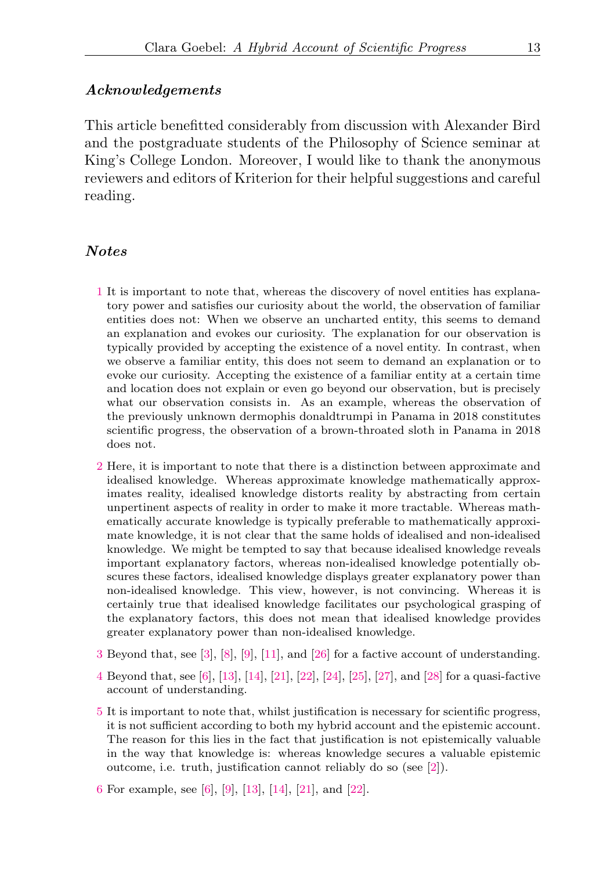#### Acknowledgements

This article benefitted considerably from discussion with Alexander Bird and the postgraduate students of the Philosophy of Science seminar at King's College London. Moreover, I would like to thank the anonymous reviewers and editors of Kriterion for their helpful suggestions and careful reading.

### **Notes**

- <span id="page-12-0"></span>[1](#page-2-1) It is important to note that, whereas the discovery of novel entities has explanatory power and satisfies our curiosity about the world, the observation of familiar entities does not: When we observe an uncharted entity, this seems to demand an explanation and evokes our curiosity. The explanation for our observation is typically provided by accepting the existence of a novel entity. In contrast, when we observe a familiar entity, this does not seem to demand an explanation or to evoke our curiosity. Accepting the existence of a familiar entity at a certain time and location does not explain or even go beyond our observation, but is precisely what our observation consists in. As an example, whereas the observation of the previously unknown dermophis donaldtrumpi in Panama in 2018 constitutes scientific progress, the observation of a brown-throated sloth in Panama in 2018 does not.
- <span id="page-12-1"></span>[2](#page-5-1) Here, it is important to note that there is a distinction between approximate and idealised knowledge. Whereas approximate knowledge mathematically approximates reality, idealised knowledge distorts reality by abstracting from certain unpertinent aspects of reality in order to make it more tractable. Whereas mathematically accurate knowledge is typically preferable to mathematically approximate knowledge, it is not clear that the same holds of idealised and non-idealised knowledge. We might be tempted to say that because idealised knowledge reveals important explanatory factors, whereas non-idealised knowledge potentially obscures these factors, idealised knowledge displays greater explanatory power than non-idealised knowledge. This view, however, is not convincing. Whereas it is certainly true that idealised knowledge facilitates our psychological grasping of the explanatory factors, this does not mean that idealised knowledge provides greater explanatory power than non-idealised knowledge.
- <span id="page-12-2"></span>[3](#page-5-2) Beyond that, see [\[3\]](#page-13-6), [\[8\]](#page-13-7), [\[9\]](#page-14-7), [\[11\]](#page-14-10), and [\[26\]](#page-15-2) for a factive account of understanding.
- <span id="page-12-3"></span>[4](#page-5-3) Beyond that, see [\[6\]](#page-13-8), [\[13\]](#page-14-6), [\[14\]](#page-14-11), [\[21\]](#page-14-12), [\[22\]](#page-14-13), [\[24\]](#page-15-1), [\[25\]](#page-15-3), [\[27\]](#page-15-4), and [\[28\]](#page-15-5) for a quasi-factive account of understanding.
- <span id="page-12-4"></span>[5](#page-9-1) It is important to note that, whilst justification is necessary for scientific progress, it is not sufficient according to both my hybrid account and the epistemic account. The reason for this lies in the fact that justification is not epistemically valuable in the way that knowledge is: whereas knowledge secures a valuable epistemic outcome, i.e. truth, justification cannot reliably do so (see [\[2\]](#page-13-5)).
- <span id="page-12-5"></span>[6](#page-11-0) For example, see [\[6\]](#page-13-8), [\[9\]](#page-14-7), [\[13\]](#page-14-6), [\[14\]](#page-14-11), [\[21\]](#page-14-12), and [\[22\]](#page-14-13).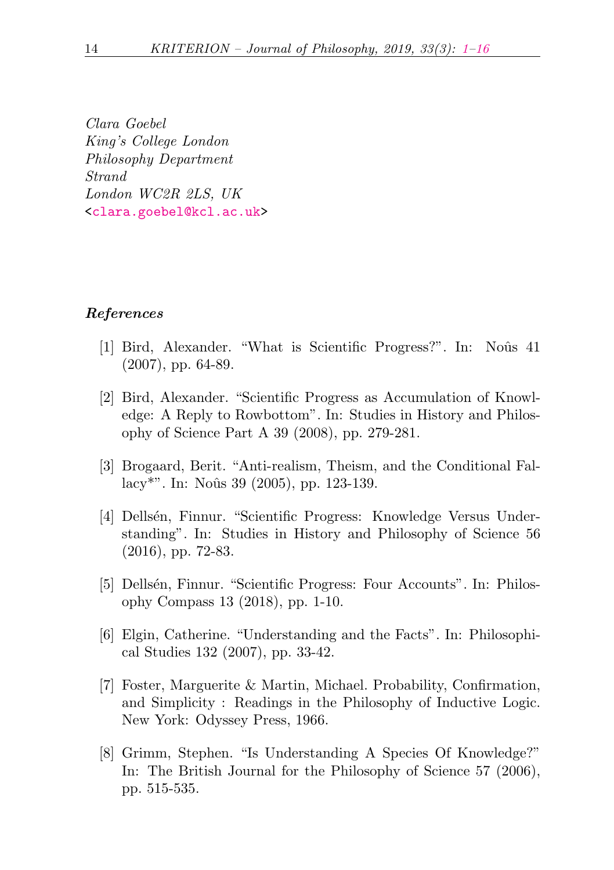Clara Goebel King's College London Philosophy Department Strand London WC2R 2LS, UK [<clara.goebel@kcl.ac.uk>](mailto:clara.goebel@kcl.ac.uk)

#### <span id="page-13-0"></span>References

- <span id="page-13-1"></span>[1] Bird, Alexander. "What is Scientific Progress?". In: Noûs 41 (2007), pp. 64-89.
- <span id="page-13-5"></span>[2] Bird, Alexander. "Scientific Progress as Accumulation of Knowledge: A Reply to Rowbottom". In: Studies in History and Philosophy of Science Part A 39 (2008), pp. 279-281.
- <span id="page-13-6"></span>[3] Brogaard, Berit. "Anti-realism, Theism, and the Conditional Fal- $\text{lacy}^{**}$ . In: Noûs 39 (2005), pp. 123-139.
- <span id="page-13-2"></span>[4] Dellsén, Finnur. "Scientific Progress: Knowledge Versus Understanding". In: Studies in History and Philosophy of Science 56 (2016), pp. 72-83.
- <span id="page-13-4"></span>[5] Dellsén, Finnur. "Scientific Progress: Four Accounts". In: Philosophy Compass 13 (2018), pp. 1-10.
- <span id="page-13-8"></span>[6] Elgin, Catherine. "Understanding and the Facts". In: Philosophical Studies 132 (2007), pp. 33-42.
- <span id="page-13-3"></span>[7] Foster, Marguerite & Martin, Michael. Probability, Confirmation, and Simplicity : Readings in the Philosophy of Inductive Logic. New York: Odyssey Press, 1966.
- <span id="page-13-7"></span>[8] Grimm, Stephen. "Is Understanding A Species Of Knowledge?" In: The British Journal for the Philosophy of Science 57 (2006), pp. 515-535.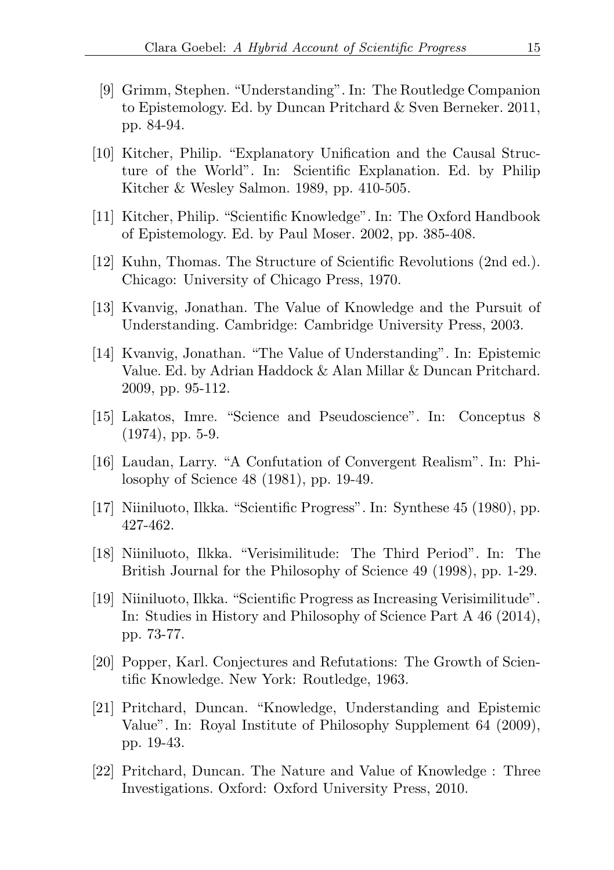- <span id="page-14-7"></span>[9] Grimm, Stephen. "Understanding". In: The Routledge Companion to Epistemology. Ed. by Duncan Pritchard & Sven Berneker. 2011, pp. 84-94.
- <span id="page-14-2"></span>[10] Kitcher, Philip. "Explanatory Unification and the Causal Structure of the World". In: Scientific Explanation. Ed. by Philip Kitcher & Wesley Salmon. 1989, pp. 410-505.
- <span id="page-14-10"></span>[11] Kitcher, Philip. "Scientific Knowledge". In: The Oxford Handbook of Epistemology. Ed. by Paul Moser. 2002, pp. 385-408.
- <span id="page-14-4"></span>[12] Kuhn, Thomas. The Structure of Scientific Revolutions (2nd ed.). Chicago: University of Chicago Press, 1970.
- <span id="page-14-6"></span>[13] Kvanvig, Jonathan. The Value of Knowledge and the Pursuit of Understanding. Cambridge: Cambridge University Press, 2003.
- <span id="page-14-11"></span>[14] Kvanvig, Jonathan. "The Value of Understanding". In: Epistemic Value. Ed. by Adrian Haddock & Alan Millar & Duncan Pritchard. 2009, pp. 95-112.
- <span id="page-14-3"></span>[15] Lakatos, Imre. "Science and Pseudoscience". In: Conceptus 8 (1974), pp. 5-9.
- <span id="page-14-5"></span>[16] Laudan, Larry. "A Confutation of Convergent Realism". In: Philosophy of Science 48 (1981), pp. 19-49.
- <span id="page-14-0"></span>[17] Niiniluoto, Ilkka. "Scientific Progress". In: Synthese 45 (1980), pp. 427-462.
- <span id="page-14-9"></span>[18] Niiniluoto, Ilkka. "Verisimilitude: The Third Period". In: The British Journal for the Philosophy of Science 49 (1998), pp. 1-29.
- <span id="page-14-1"></span>[19] Niiniluoto, Ilkka. "Scientific Progress as Increasing Verisimilitude". In: Studies in History and Philosophy of Science Part A 46 (2014), pp. 73-77.
- <span id="page-14-8"></span>[20] Popper, Karl. Conjectures and Refutations: The Growth of Scientific Knowledge. New York: Routledge, 1963.
- <span id="page-14-12"></span>[21] Pritchard, Duncan. "Knowledge, Understanding and Epistemic Value". In: Royal Institute of Philosophy Supplement 64 (2009), pp. 19-43.
- <span id="page-14-13"></span>[22] Pritchard, Duncan. The Nature and Value of Knowledge : Three Investigations. Oxford: Oxford University Press, 2010.